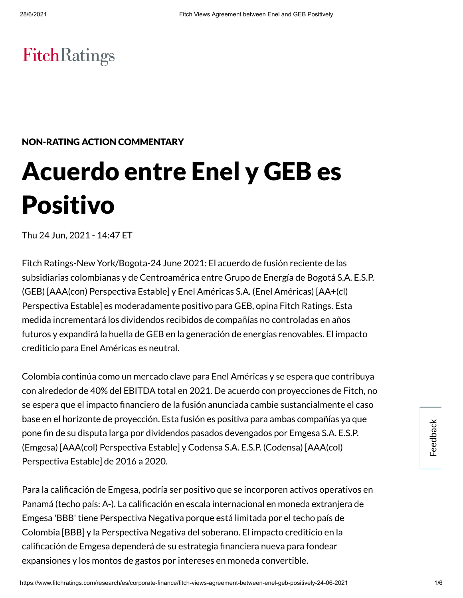## **FitchRatings**

## NON-RATING ACTION COMMENTARY

## Acuerdo entre Enel y GEB es Positivo

Thu 24 Jun, 2021 - 14:47 ET

Fitch Ratings-New York/Bogota-24 June 2021: El acuerdo de fusión reciente de las subsidiarias colombianas y de Centroamérica entre Grupo de Energía de Bogotá S.A. E.S.P. (GEB) [AAA(con) Perspectiva Estable] y Enel Américas S.A. (Enel Américas) [AA+(cl) Perspectiva Estable] es moderadamente positivo para GEB, opina Fitch Ratings. Esta medida incrementará los dividendos recibidos de compañías no controladas en años futuros y expandirá la huella de GEB en la generación de energías renovables. El impacto crediticio para Enel Américas es neutral.

Colombia continúa como un mercado clave para Enel Américas y se espera que contribuya con alrededor de 40% del EBITDA total en 2021. De acuerdo con proyecciones de Fitch, no se espera que el impacto financiero de la fusión anunciada cambie sustancialmente el caso base en el horizonte de proyección. Esta fusión es positiva para ambas compañías ya que pone fin de su disputa larga por dividendos pasados devengados por Emgesa S.A. E.S.P. (Emgesa) [AAA(col) Perspectiva Estable] y Codensa S.A. E.S.P. (Codensa) [AAA(col) Perspectiva Estable] de 2016 a 2020.

Para la calificación de Emgesa, podría ser positivo que se incorporen activos operativos en Panamá (techo país: A-). La calificación en escala internacional en moneda extranjera de Emgesa 'BBB' tiene Perspectiva Negativa porque está limitada por el techo país de Colombia [BBB] y la Perspectiva Negativa del soberano. El impacto crediticio en la calificación de Emgesa dependerá de su estrategia financiera nueva para fondear expansiones y los montos de gastos por intereses en moneda convertible.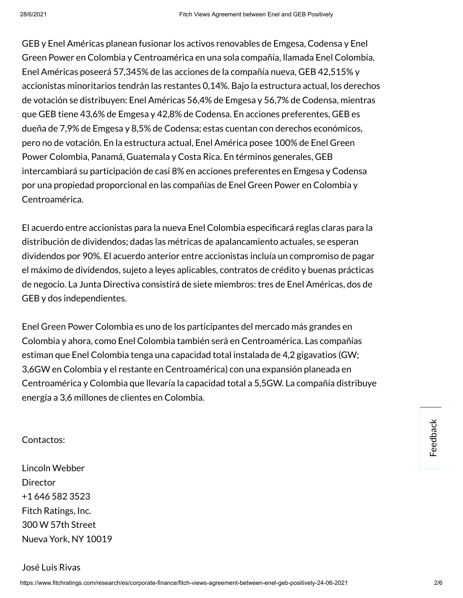GEB y Enel Américas planean fusionar los activos renovables de Emgesa, Codensa y Enel Green Power en Colombia y Centroamérica en una sola compañía, llamada Enel Colombia. Enel Américas poseerá 57,345% de las acciones de la compañía nueva, GEB 42,515% y accionistas minoritarios tendrán las restantes 0,14%. Bajo la estructura actual, los derechos de votación se distribuyen: Enel Américas 56,4% de Emgesa y 56,7% de Codensa, mientras que GEB tiene 43,6% de Emgesa y 42,8% de Codensa. En acciones preferentes, GEB es dueña de 7,9% de Emgesa y 8,5% de Codensa; estas cuentan con derechos económicos, pero no de votación. En la estructura actual, Enel América posee 100% de Enel Green Power Colombia, Panamá, Guatemala y Costa Rica. En términos generales, GEB intercambiará su participación de casi 8% en acciones preferentes en Emgesa y Codensa por una propiedad proporcional en las compañías de Enel Green Power en Colombia y Centroamérica.

El acuerdo entre accionistas para la nueva Enel Colombia especificará reglas claras para la distribución de dividendos; dadas las métricas de apalancamiento actuales, se esperan dividendos por 90%. El acuerdo anterior entre accionistas incluía un compromiso de pagar el máximo de dividendos, sujeto a leyes aplicables, contratos de crédito y buenas prácticas de negocio. La Junta Directiva consistirá de siete miembros: tres de Enel Américas, dos de GEB y dos independientes.

Enel Green Power Colombia es uno de los participantes del mercado más grandes en Colombia y ahora, como Enel Colombia también será en Centroamérica. Las compañías estiman que Enel Colombia tenga una capacidad total instalada de 4,2 gigavatios (GW; 3,6GW en Colombia y el restante en Centroamérica) con una expansión planeada en Centroamérica y Colombia que llevaría la capacidad total a 5,5GW. La compañía distribuye energía a 3,6 millones de clientes en Colombia.

Contactos:

Lincoln Webber **Director** +1 646 582 3523 Fitch Ratings, Inc. 300 W 57th Street Nueva York, NY 10019

José Luis Rivas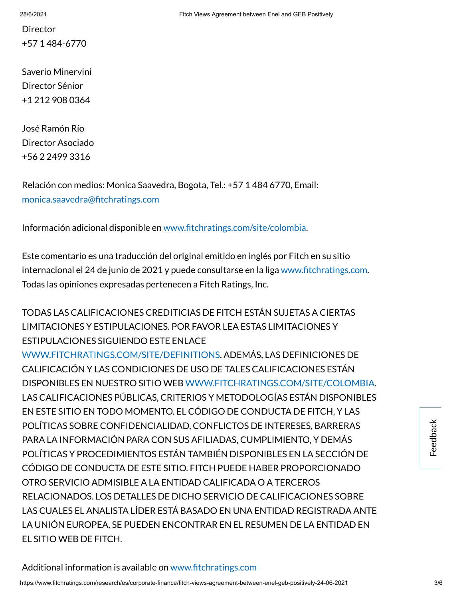**Director** +57 1 484-6770

Saverio Minervini Director Sénior +1 212 908 0364

José Ramón Río Director Asociado +56 2 2499 3316

Relación con medios: Monica Saavedra, Bogota, Tel.: +57 1 484 6770, Email: [monica.saavedra@fitchratings.com](mailto:monica.saavedra@fitchratings.com)

Información adicional disponible en [www.fitchratings.com/site/colombia.](http://www.fitchratings.com/site/colombia)

Este comentario es una traducción del original emitido en inglés por Fitch en su sitio internacional el 24 de junio de 2021 y puede consultarse en la liga [www.fitchratings.com.](http://www.fitchratings.com/) Todas las opiniones expresadas pertenecen a Fitch Ratings, Inc.

TODAS LAS CALIFICACIONES CREDITICIAS DE FITCH ESTÁN SUJETAS A CIERTAS LIMITACIONES Y ESTIPULACIONES. POR FAVOR LEA ESTAS LIMITACIONES Y ESTIPULACIONES SIGUIENDO ESTE ENLACE [WWW.FITCHRATINGS.COM/SITE/DEFINITIONS.](http://www.fitchratings.com/SITE/DEFINITIONS) ADEMÁS, LAS DEFINICIONES DE CALIFICACIÓN Y LAS CONDICIONES DE USO DE TALES CALIFICACIONES ESTÁN DISPONIBLES EN NUESTRO SITIO WEB [WWW.FITCHRATINGS.COM/SITE/COLOMBIA](http://www.fitchratings.com/SITE/COLOMBIA). LAS CALIFICACIONES PÚBLICAS, CRITERIOS Y METODOLOGÍAS ESTÁN DISPONIBLES EN ESTE SITIO EN TODO MOMENTO. EL CÓDIGO DE CONDUCTA DE FITCH, Y LAS POLÍTICAS SOBRE CONFIDENCIALIDAD, CONFLICTOS DE INTERESES, BARRERAS PARA LA INFORMACIÓN PARA CON SUS AFILIADAS, CUMPLIMIENTO, Y DEMÁS POLÍTICAS Y PROCEDIMIENTOS ESTÁN TAMBIÉN DISPONIBLES EN LA SECCIÓN DE CÓDIGO DE CONDUCTA DE ESTE SITIO. FITCH PUEDE HABER PROPORCIONADO OTRO SERVICIO ADMISIBLE A LA ENTIDAD CALIFICADA O A TERCEROS RELACIONADOS. LOS DETALLES DE DICHO SERVICIO DE CALIFICACIONES SOBRE LAS CUALES EL ANALISTA LÍDER ESTÁ BASADO EN UNA ENTIDAD REGISTRADA ANTE LA UNIÓN EUROPEA, SE PUEDEN ENCONTRAR EN EL RESUMEN DE LA ENTIDAD EN EL SITIO WEB DE FITCH.

Feedback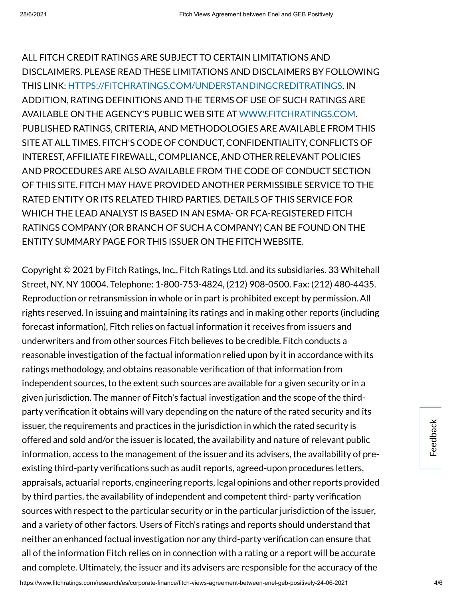ALL FITCH CREDIT RATINGS ARE SUBJECT TO CERTAIN LIMITATIONS AND DISCLAIMERS. PLEASE READ THESE LIMITATIONS AND DISCLAIMERS BY FOLLOWING THIS LINK: [HTTPS://FITCHRATINGS.COM/UNDERSTANDINGCREDITRATINGS.](https://fitchratings.com/UNDERSTANDINGCREDITRATINGS) IN ADDITION, RATING DEFINITIONS AND THE TERMS OF USE OF SUCH RATINGS ARE AVAILABLE ON THE AGENCY'S PUBLIC WEB SITE AT [WWW.FITCHRATINGS.COM](http://www.fitchratings.com/). PUBLISHED RATINGS, CRITERIA, AND METHODOLOGIES ARE AVAILABLE FROM THIS SITE AT ALL TIMES. FITCH'S CODE OF CONDUCT, CONFIDENTIALITY, CONFLICTS OF INTEREST, AFFILIATE FIREWALL, COMPLIANCE, AND OTHER RELEVANT POLICIES AND PROCEDURES ARE ALSO AVAILABLE FROM THE CODE OF CONDUCT SECTION OF THIS SITE. FITCH MAY HAVE PROVIDED ANOTHER PERMISSIBLE SERVICE TO THE RATED ENTITY OR ITS RELATED THIRD PARTIES. DETAILS OF THIS SERVICE FOR WHICH THE LEAD ANALYST IS BASED IN AN ESMA- OR FCA-REGISTERED FITCH RATINGS COMPANY (OR BRANCH OF SUCH A COMPANY) CAN BE FOUND ON THE ENTITY SUMMARY PAGE FOR THIS ISSUER ON THE FITCH WEBSITE.

Copyright © 2021 by Fitch Ratings, Inc., Fitch Ratings Ltd. and its subsidiaries. 33 Whitehall Street, NY, NY 10004. Telephone: 1-800-753-4824, (212) 908-0500. Fax: (212) 480-4435. Reproduction or retransmission in whole or in part is prohibited except by permission. All rights reserved. In issuing and maintaining its ratings and in making other reports (including forecast information), Fitch relies on factual information it receives from issuers and underwriters and from other sources Fitch believes to be credible. Fitch conducts a reasonable investigation of the factual information relied upon by it in accordance with its ratings methodology, and obtains reasonable verification of that information from independent sources, to the extent such sources are available for a given security or in a given jurisdiction. The manner of Fitch's factual investigation and the scope of the thirdparty verification it obtains will vary depending on the nature of the rated security and its issuer, the requirements and practices in the jurisdiction in which the rated security is offered and sold and/or the issuer is located, the availability and nature of relevant public information, access to the management of the issuer and its advisers, the availability of preexisting third-party verifications such as audit reports, agreed-upon procedures letters, appraisals, actuarial reports, engineering reports, legal opinions and other reports provided by third parties, the availability of independent and competent third- party verification sources with respect to the particular security or in the particular jurisdiction of the issuer, and a variety of other factors. Users of Fitch's ratings and reports should understand that neither an enhanced factual investigation nor any third-party verification can ensure that all of the information Fitch relies on in connection with a rating or a report will be accurate and complete. Ultimately, the issuer and its advisers are responsible for the accuracy of the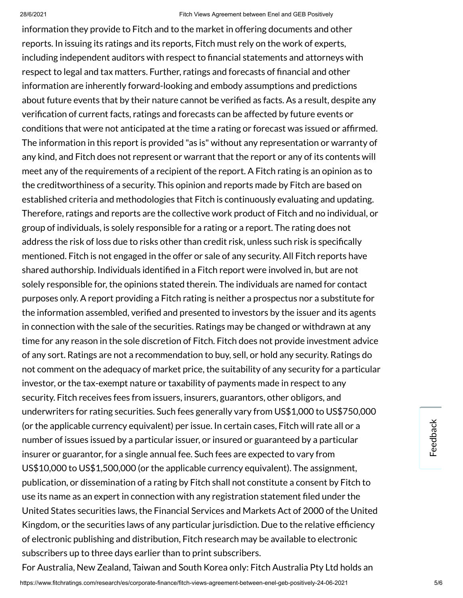information they provide to Fitch and to the market in offering documents and other reports. In issuing its ratings and its reports, Fitch must rely on the work of experts, including independent auditors with respect to financial statements and attorneys with respect to legal and tax matters. Further, ratings and forecasts of financial and other information are inherently forward-looking and embody assumptions and predictions about future events that by their nature cannot be verified as facts. As a result, despite any verification of current facts, ratings and forecasts can be affected by future events or conditions that were not anticipated at the time a rating or forecast was issued or affirmed. The information in this report is provided "as is" without any representation or warranty of any kind, and Fitch does not represent or warrant that the report or any of its contents will meet any of the requirements of a recipient of the report. A Fitch rating is an opinion as to the creditworthiness of a security. This opinion and reports made by Fitch are based on established criteria and methodologies that Fitch is continuously evaluating and updating. Therefore, ratings and reports are the collective work product of Fitch and no individual, or group of individuals, is solely responsible for a rating or a report. The rating does not address the risk of loss due to risks other than credit risk, unless such risk is specifically mentioned. Fitch is not engaged in the offer or sale of any security. All Fitch reports have shared authorship. Individuals identified in a Fitch report were involved in, but are not solely responsible for, the opinions stated therein. The individuals are named for contact purposes only. A report providing a Fitch rating is neither a prospectus nor a substitute for the information assembled, verified and presented to investors by the issuer and its agents in connection with the sale of the securities. Ratings may be changed or withdrawn at any time for any reason in the sole discretion of Fitch. Fitch does not provide investment advice of any sort. Ratings are not a recommendation to buy, sell, or hold any security. Ratings do not comment on the adequacy of market price, the suitability of any security for a particular investor, or the tax-exempt nature or taxability of payments made in respect to any security. Fitch receives fees from issuers, insurers, guarantors, other obligors, and underwriters for rating securities. Such fees generally vary from US\$1,000 to US\$750,000 (or the applicable currency equivalent) per issue. In certain cases, Fitch will rate all or a number of issues issued by a particular issuer, or insured or guaranteed by a particular insurer or guarantor, for a single annual fee. Such fees are expected to vary from US\$10,000 to US\$1,500,000 (or the applicable currency equivalent). The assignment, publication, or dissemination of a rating by Fitch shall not constitute a consent by Fitch to use its name as an expert in connection with any registration statement filed under the United States securities laws, the Financial Services and Markets Act of 2000 of the United Kingdom, or the securities laws of any particular jurisdiction. Due to the relative efficiency of electronic publishing and distribution, Fitch research may be available to electronic subscribers up to three days earlier than to print subscribers.

For Australia, New Zealand, Taiwan and South Korea only: Fitch Australia Pty Ltd holds an

Feedback